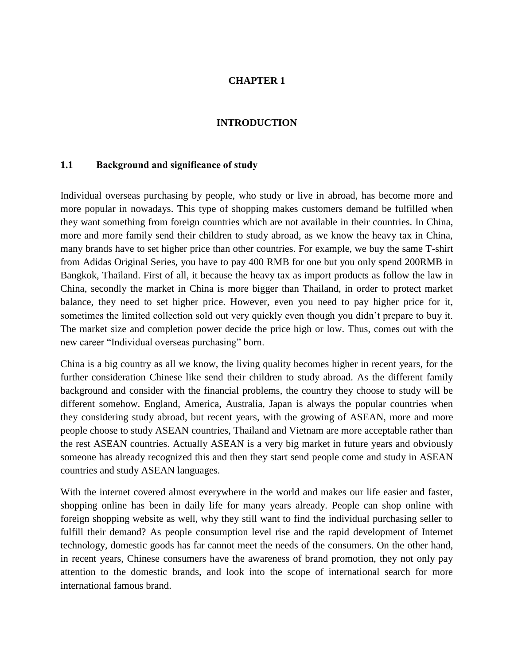## **CHAPTER 1**

## **INTRODUCTION**

## **1.1 Background and significance of study**

Individual overseas purchasing by people, who study or live in abroad, has become more and more popular in nowadays. This type of shopping makes customers demand be fulfilled when they want something from foreign countries which are not available in their countries. In China, more and more family send their children to study abroad, as we know the heavy tax in China, many brands have to set higher price than other countries. For example, we buy the same T-shirt from Adidas Original Series, you have to pay 400 RMB for one but you only spend 200RMB in Bangkok, Thailand. First of all, it because the heavy tax as import products as follow the law in China, secondly the market in China is more bigger than Thailand, in order to protect market balance, they need to set higher price. However, even you need to pay higher price for it, sometimes the limited collection sold out very quickly even though you didn't prepare to buy it. The market size and completion power decide the price high or low. Thus, comes out with the new career "Individual overseas purchasing" born.

China is a big country as all we know, the living quality becomes higher in recent years, for the further consideration Chinese like send their children to study abroad. As the different family background and consider with the financial problems, the country they choose to study will be different somehow. England, America, Australia, Japan is always the popular countries when they considering study abroad, but recent years, with the growing of ASEAN, more and more people choose to study ASEAN countries, Thailand and Vietnam are more acceptable rather than the rest ASEAN countries. Actually ASEAN is a very big market in future years and obviously someone has already recognized this and then they start send people come and study in ASEAN countries and study ASEAN languages.

With the internet covered almost everywhere in the world and makes our life easier and faster, shopping online has been in daily life for many years already. People can shop online with foreign shopping website as well, why they still want to find the individual purchasing seller to fulfill their demand? As people consumption level rise and the rapid development of Internet technology, domestic goods has far cannot meet the needs of the consumers. On the other hand, in recent years, Chinese consumers have the awareness of brand promotion, they not only pay attention to the domestic brands, and look into the scope of international search for more international famous brand.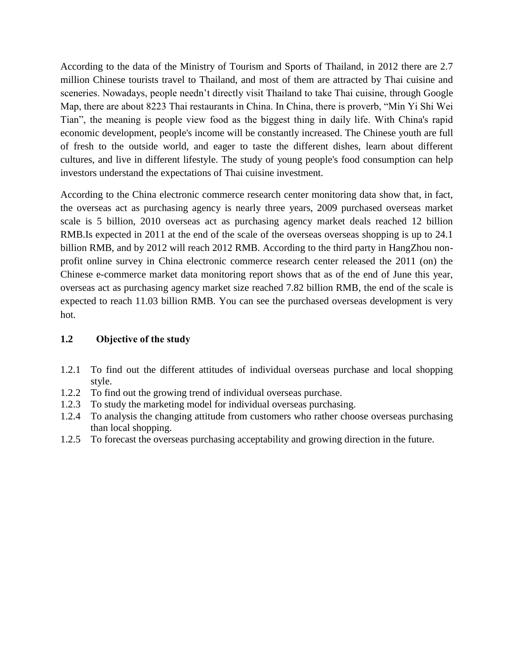According to the data of the Ministry of Tourism and Sports of Thailand, in 2012 there are 2.7 million Chinese tourists travel to Thailand, and most of them are attracted by Thai cuisine and sceneries. Nowadays, people needn't directly visit Thailand to take Thai cuisine, through Google Map, there are about 8223 Thai restaurants in China. In China, there is proverb, "Min Yi Shi Wei Tian", the meaning is people view food as the biggest thing in daily life. With China's rapid economic development, people's income will be constantly increased. The Chinese youth are full of fresh to the outside world, and eager to taste the different dishes, learn about different cultures, and live in different lifestyle. The study of young people's food consumption can help investors understand the expectations of Thai cuisine investment.

According to the China electronic commerce research center monitoring data show that, in fact, the overseas act as purchasing agency is nearly three years, 2009 purchased overseas market scale is 5 billion, 2010 overseas act as purchasing agency market deals reached 12 billion RMB.Is expected in 2011 at the end of the scale of the overseas overseas shopping is up to 24.1 billion RMB, and by 2012 will reach 2012 RMB. According to the third party in HangZhou nonprofit online survey in China electronic commerce research center released the 2011 (on) the Chinese e-commerce market data monitoring report shows that as of the end of June this year, overseas act as purchasing agency market size reached 7.82 billion RMB, the end of the scale is expected to reach 11.03 billion RMB. You can see the purchased overseas development is very hot.

## **1.2 Objective of the study**

- 1.2.1 To find out the different attitudes of individual overseas purchase and local shopping style.
- 1.2.2 To find out the growing trend of individual overseas purchase.
- 1.2.3 To study the marketing model for individual overseas purchasing.
- 1.2.4 To analysis the changing attitude from customers who rather choose overseas purchasing than local shopping.
- 1.2.5 To forecast the overseas purchasing acceptability and growing direction in the future.